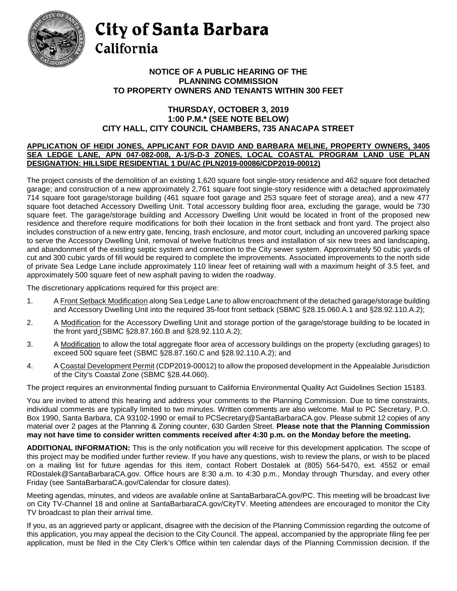

## City of Santa Barbara California

## **TO PROPERTY OWNERS AND TENANTS WITHIN 300 FEET NOTICE OF A PUBLIC HEARING OF THE PLANNING COMMISSION**

## **THURSDAY, OCTOBER 3, 2019 1:00 P.M.\* (SEE NOTE BELOW) CITY HALL, CITY COUNCIL CHAMBERS, 735 ANACAPA STREET**

## **DESIGNATION: HILLSIDE RESIDENTIAL 1 DU/AC (PLN2019-00086/CDP2019-00012) APPLICATION OF HEIDI JONES, APPLICANT FOR DAVID AND BARBARA MELINE, PROPERTY OWNERS, 3405 SEA LEDGE LANE, APN 047-082-008, A-1/S-D-3 ZONES, LOCAL COASTAL PROGRAM LAND USE PLAN**

 garage; and construction of a new approximately 2,761 square foot single-story residence with a detached approximately 714 square foot garage/storage building (461 square foot garage and 253 square feet of storage area), and a new 477 square foot detached Accessory Dwelling Unit. Total accessory building floor area, excluding the garage, would be 730 residence and therefore require modifications for both their location in the front setback and front yard. The project also to serve the Accessory Dwelling Unit, removal of twelve fruit/citrus trees and installation of six new trees and landscaping, and abandonment of the existing septic system and connection to the City sewer system. Approximately 50 cubic yards of cut and 300 cubic yards of fill would be required to complete the improvements. Associated improvements to the north side of private Sea Ledge Lane include approximately 110 linear feet of retaining wall with a maximum height of 3.5 feet, and The project consists of the demolition of an existing 1,620 square foot single-story residence and 462 square foot detached square feet. The garage/storage building and Accessory Dwelling Unit would be located in front of the proposed new includes construction of a new entry gate, fencing, trash enclosure, and motor court, including an uncovered parking space approximately 500 square feet of new asphalt paving to widen the roadway.

The discretionary applications required for this project are:

- 1. A Front Setback Modification along Sea Ledge Lane to allow encroachment of the detached garage/storage building and Accessory Dwelling Unit into the required 35-foot front setback (SBMC §28.15.060.A.1 and §28.92.110.A.2);
- the front yard (SBMC §28.87.160.B and §28.92.110.A.2); 2. A Modification for the Accessory Dwelling Unit and storage portion of the garage/storage building to be located in
- 3. A Modification to allow the total aggregate floor area of accessory buildings on the property (excluding garages) to exceed 500 square feet (SBMC §28.87.160.C and §28.92.110.A.2); and
- 4. A Coastal Development Permit (CDP2019-00012) to allow the proposed development in the Appealable Jurisdiction of the City's Coastal Zone (SBMC §28.44.060).

The project requires an environmental finding pursuant to California Environmental Quality Act Guidelines Section 15183.

 You are invited to attend this hearing and address your comments to the Planning Commission. Due to time constraints, individual comments are typically limited to two minutes. Written comments are also welcome. Mail to PC Secretary, P.O. material over 2 pages at the Planning & Zoning counter, 630 Garden Street. **Please note that the Planning Commission** Box 1990, Santa Barbara, CA 93102-1990 or email to [PCSecretary@SantaBarbaraCA.gov.](mailto:PCSecretary@SantaBarbaraCA.gov) Please submit 12 copies of any **may not have time to consider written comments received after 4:30 p.m. on the Monday before the meeting.** 

 this project may be modified under further review. If you have any questions, wish to review the plans, or wish to be placed on a mailing list for future agendas for this item, contact Robert Dostalek at (805) 564-5470, ext. 4552 or email RDostalek@SantaBarbaraCA.gov. Office hours are 8:30 a.m. to 4:30 p.m., Monday through Thursday, and every other **ADDITIONAL INFORMATION:** This is the only notification you will receive for this development application. The scope of Friday (see [SantaBarbaraCA.gov/Calendar](http://www.santabarbaraca.gov/cals/default.asp) for closure dates).

 Meeting agendas, minutes, and videos are available online at [SantaBarbaraCA.gov/PC.](http://www.santabarbaraca.gov/gov/brdcomm/nz/planning/agendas.asp) This meeting will be broadcast live on City TV-Channel 18 and online at [SantaBarbaraCA.gov/CityTV.](http://www.santabarbaraca.gov/gov/depts/cityadmin/watch/default.asp) Meeting attendees are encouraged to monitor the City TV broadcast to plan their arrival time.

 this application, you may appeal the decision to the City Council. The appeal, accompanied by the appropriate filing fee per application, must be filed in the City Clerk's Office within ten calendar days of the Planning Commission decision. If the If you, as an aggrieved party or applicant, disagree with the decision of the Planning Commission regarding the outcome of